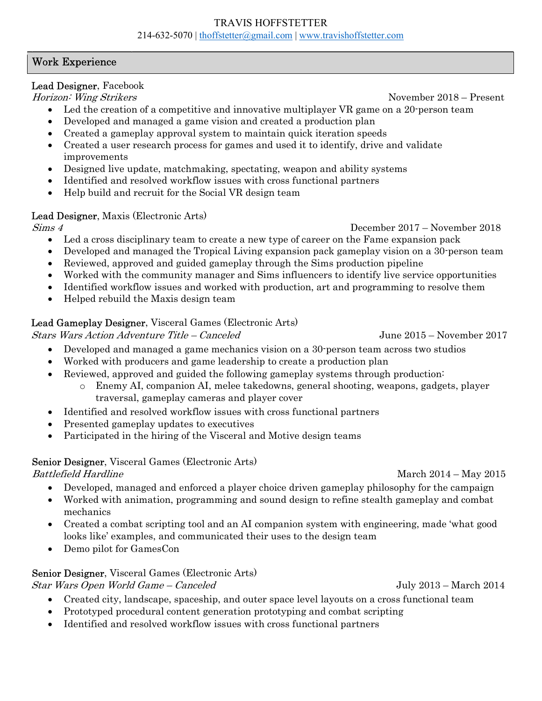#### TRAVIS HOFFSTETTER 214-632-5070 | thoffstetter@gmail.com | www.travishoffstetter.com

## Work Experience

## Lead Designer, Facebook

Horizon: Wing Strikers and the second second second second second second second second second second second second second second second second second second second second second second second second second second second se

- Led the creation of a competitive and innovative multiplayer VR game on a 20-person team
- Developed and managed a game vision and created a production plan
- Created a gameplay approval system to maintain quick iteration speeds
- Created a user research process for games and used it to identify, drive and validate improvements
- Designed live update, matchmaking, spectating, weapon and ability systems
- Identified and resolved workflow issues with cross functional partners
- Help build and recruit for the Social VR design team

## Lead Designer, Maxis (Electronic Arts)

Sims 4 December 2017 – November 2018

- Led a cross disciplinary team to create a new type of career on the Fame expansion pack
- Developed and managed the Tropical Living expansion pack gameplay vision on a 30-person team
- Reviewed, approved and guided gameplay through the Sims production pipeline
- Worked with the community manager and Sims influencers to identify live service opportunities
- Identified workflow issues and worked with production, art and programming to resolve them
- Helped rebuild the Maxis design team

# Lead Gameplay Designer, Visceral Games (Electronic Arts)

Stars Wars Action Adventure Title – Canceled June 2015 – November 2017

- Developed and managed a game mechanics vision on a 30-person team across two studios
- Worked with producers and game leadership to create a production plan
- Reviewed, approved and guided the following gameplay systems through production:
	- o Enemy AI, companion AI, melee takedowns, general shooting, weapons, gadgets, player traversal, gameplay cameras and player cover
- Identified and resolved workflow issues with cross functional partners
- Presented gameplay updates to executives
- Participated in the hiring of the Visceral and Motive design teams

## Senior Designer, Visceral Games (Electronic Arts)

Battlefield Hardline March 2014 – May 2015

- Developed, managed and enforced a player choice driven gameplay philosophy for the campaign
- Worked with animation, programming and sound design to refine stealth gameplay and combat mechanics
- Created a combat scripting tool and an AI companion system with engineering, made 'what good looks like' examples, and communicated their uses to the design team
- Demo pilot for GamesCon

# Senior Designer, Visceral Games (Electronic Arts)

Star Wars Open World Game – Canceled July 2013 – March 2014

- Created city, landscape, spaceship, and outer space level layouts on a cross functional team
- Prototyped procedural content generation prototyping and combat scripting
- Identified and resolved workflow issues with cross functional partners